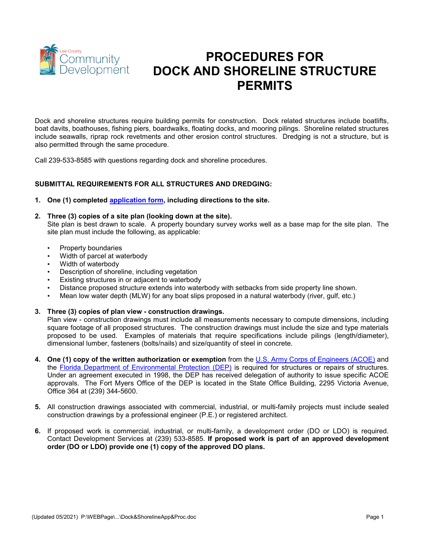

# **PROCEDURES FOR DOCK AND SHORELINE STRUCTURE PERMITS**

Dock and shoreline structures require building permits for construction. Dock related structures include boatlifts, boat davits, boathouses, fishing piers, boardwalks, floating docks, and mooring pilings. Shoreline related structures include seawalls, riprap rock revetments and other erosion control structures. Dredging is not a structure, but is also permitted through the same procedure.

Call 239-533-8585 with questions regarding dock and shoreline procedures.

## **SUBMITTAL REQUIREMENTS FOR ALL STRUCTURES AND DREDGING:**

- **1. One (1) completed [application form,](http://leegov.com/dcd/Documents/ES/Apps/DockandShorelineApp.pdf) including directions to the site.**
- **2. Three (3) copies of a site plan (looking down at the site).**

Site plan is best drawn to scale. A property boundary survey works well as a base map for the site plan. The site plan must include the following, as applicable:

- Property boundaries
- Width of parcel at waterbody
- Width of waterbody
- Description of shoreline, including vegetation
- Existing structures in or adjacent to waterbody
- Distance proposed structure extends into waterbody with setbacks from side property line shown.
- Mean low water depth (MLW) for any boat slips proposed in a natural waterbody (river, gulf, etc.)
- **3. Three (3) copies of plan view - construction drawings.**

Plan view - construction drawings must include all measurements necessary to compute dimensions, including square footage of all proposed structures. The construction drawings must include the size and type materials proposed to be used. Examples of materials that require specifications include pilings (length/diameter), dimensional lumber, fasteners (bolts/nails) and size/quantity of steel in concrete.

- **4. One (1) copy of the written authorization or exemption** from the [U.S. Army Corps of Engineers \(ACOE\)](https://www.usace.army.mil/) and the Florida Department of [Environmental Protection \(DEP\)](http://www.dep.state.fl.us/south/ERP/default.htm) is required for structures or repairs of structures. Under an agreement executed in 1998, the DEP has received delegation of authority to issue specific ACOE approvals. The Fort Myers Office of the DEP is located in the State Office Building, 2295 Victoria Avenue, Office 364 at (239) 344-5600.
- **5.** All construction drawings associated with commercial, industrial, or multi-family projects must include sealed construction drawings by a professional engineer (P.E.) or registered architect.
- **6.** If proposed work is commercial, industrial, or multi-family, a development order (DO or LDO) is required. Contact Development Services at (239) 533-8585. **If proposed work is part of an approved development order (DO or LDO) provide one (1) copy of the approved DO plans.**